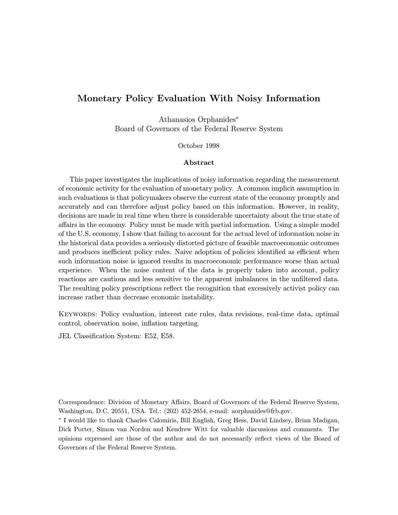# Monetary Policy Evaluation With Noisy Information

Athanasios Orphanides<sup>∗</sup> Board of Governors of the Federal Reserve System

October 1998

#### Abstract

This paper investigates the implications of noisy information regarding the measurement of economic activity for the evaluation of monetary policy. A common implicit assumption in such evaluations is that policymakers observe the current state of the economy promptly and accurately and can therefore adjust policy based on this information. However, in reality, decisions are made in real time when there is considerable uncertainty about the true state of affairs in the economy. Policy must be made with partial information. Using a simple model of the U.S. economy, I show that failing to account for the actual level of information noise in the historical data provides a seriously distorted picture of feasible macroeconomic outcomes and produces inefficient policy rules. Naive adoption of policies identified as efficient when such information noise is ignored results in macroeconomic performance worse than actual experience. When the noise content of the data is properly taken into account, policy reactions are cautious and less sensitive to the apparent imbalances in the unfiltered data. The resulting policy prescriptions reflect the recognition that excessively activist policy can increase rather than decrease economic instability.

Keywords: Policy evaluation, interest rate rules, data revisions, real-time data, optimal control, observation noise, inflation targeting.

JEL Classification System: E52, E58.

Correspondence: Division of Monetary Affairs, Board of Governors of the Federal Reserve System, Washington, D.C. 20551, USA. Tel.: (202) 452-2654, e-mail: aorphanides@frb.gov.

<sup>∗</sup> I would like to thank Charles Calomiris, Bill English, Greg Hess, David Lindsey, Brian Madigan, Dick Porter, Simon van Norden and Kendrew Witt for valuable discussions and comments. The opinions expressed are those of the author and do not necessarily reflect views of the Board of Governors of the Federal Reserve System.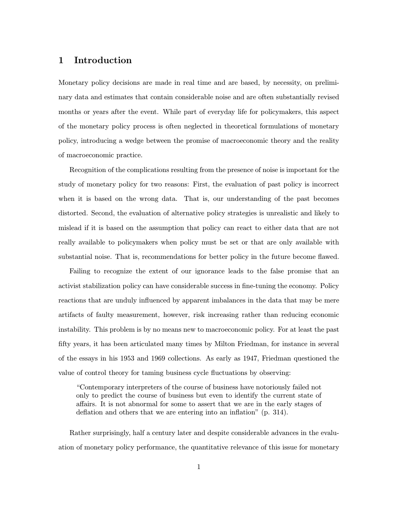# 1 Introduction

Monetary policy decisions are made in real time and are based, by necessity, on preliminary data and estimates that contain considerable noise and are often substantially revised months or years after the event. While part of everyday life for policymakers, this aspect of the monetary policy process is often neglected in theoretical formulations of monetary policy, introducing a wedge between the promise of macroeconomic theory and the reality of macroeconomic practice.

Recognition of the complications resulting from the presence of noise is important for the study of monetary policy for two reasons: First, the evaluation of past policy is incorrect when it is based on the wrong data. That is, our understanding of the past becomes distorted. Second, the evaluation of alternative policy strategies is unrealistic and likely to mislead if it is based on the assumption that policy can react to either data that are not really available to policymakers when policy must be set or that are only available with substantial noise. That is, recommendations for better policy in the future become flawed.

Failing to recognize the extent of our ignorance leads to the false promise that an activist stabilization policy can have considerable success in fine-tuning the economy. Policy reactions that are unduly influenced by apparent imbalances in the data that may be mere artifacts of faulty measurement, however, risk increasing rather than reducing economic instability. This problem is by no means new to macroeconomic policy. For at least the past fifty years, it has been articulated many times by Milton Friedman, for instance in several of the essays in his 1953 and 1969 collections. As early as 1947, Friedman questioned the value of control theory for taming business cycle fluctuations by observing:

"Contemporary interpreters of the course of business have notoriously failed not only to predict the course of business but even to identify the current state of affairs. It is not abnormal for some to assert that we are in the early stages of deflation and others that we are entering into an inflation" (p. 314).

Rather surprisingly, half a century later and despite considerable advances in the evaluation of monetary policy performance, the quantitative relevance of this issue for monetary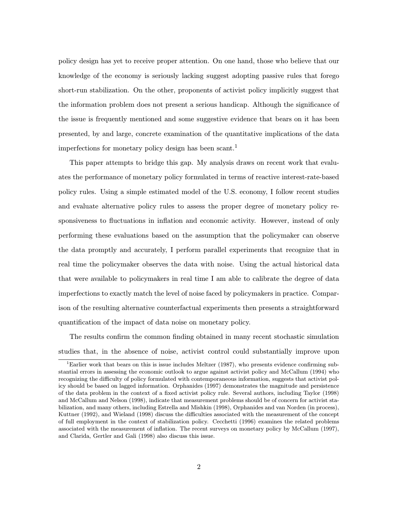policy design has yet to receive proper attention. On one hand, those who believe that our knowledge of the economy is seriously lacking suggest adopting passive rules that forego short-run stabilization. On the other, proponents of activist policy implicitly suggest that the information problem does not present a serious handicap. Although the significance of the issue is frequently mentioned and some suggestive evidence that bears on it has been presented, by and large, concrete examination of the quantitative implications of the data imperfections for monetary policy design has been scant.<sup>1</sup>

This paper attempts to bridge this gap. My analysis draws on recent work that evaluates the performance of monetary policy formulated in terms of reactive interest-rate-based policy rules. Using a simple estimated model of the U.S. economy, I follow recent studies and evaluate alternative policy rules to assess the proper degree of monetary policy responsiveness to fluctuations in inflation and economic activity. However, instead of only performing these evaluations based on the assumption that the policymaker can observe the data promptly and accurately, I perform parallel experiments that recognize that in real time the policymaker observes the data with noise. Using the actual historical data that were available to policymakers in real time I am able to calibrate the degree of data imperfections to exactly match the level of noise faced by policymakers in practice. Comparison of the resulting alternative counterfactual experiments then presents a straightforward quantification of the impact of data noise on monetary policy.

The results confirm the common finding obtained in many recent stochastic simulation studies that, in the absence of noise, activist control could substantially improve upon

<sup>&</sup>lt;sup>1</sup>Earlier work that bears on this is issue includes Meltzer (1987), who presents evidence confirming substantial errors in assessing the economic outlook to argue against activist policy and McCallum (1994) who recognizing the difficulty of policy formulated with contemporaneous information, suggests that activist policy should be based on lagged information. Orphanides (1997) demonstrates the magnitude and persistence of the data problem in the context of a fixed activist policy rule. Several authors, including Taylor (1998) and McCallum and Nelson (1998), indicate that measurement problems should be of concern for activist stabilization, and many others, including Estrella and Mishkin (1998), Orphanides and van Norden (in process), Kuttner (1992), and Wieland (1998) discuss the difficulties associated with the measurement of the concept of full employment in the context of stabilization policy. Cecchetti (1996) examines the related problems associated with the measurement of inflation. The recent surveys on monetary policy by McCallum (1997), and Clarida, Gertler and Gali (1998) also discuss this issue.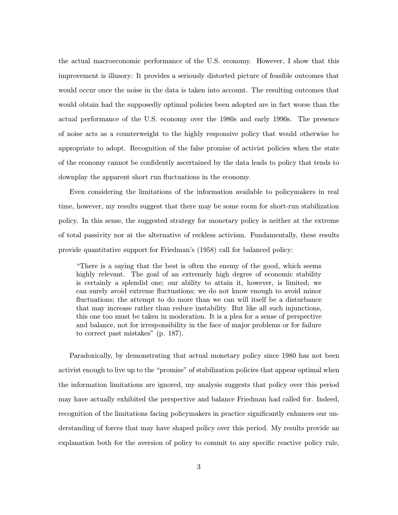the actual macroeconomic performance of the U.S. economy. However, I show that this improvement is illusory: It provides a seriously distorted picture of feasible outcomes that would occur once the noise in the data is taken into account. The resulting outcomes that would obtain had the supposedly optimal policies been adopted are in fact worse than the actual performance of the U.S. economy over the 1980s and early 1990s. The presence of noise acts as a counterweight to the highly responsive policy that would otherwise be appropriate to adopt. Recognition of the false promise of activist policies when the state of the economy cannot be confidently ascertained by the data leads to policy that tends to downplay the apparent short run fluctuations in the economy.

Even considering the limitations of the information available to policymakers in real time, however, my results suggest that there may be some room for short-run stabilization policy. In this sense, the suggested strategy for monetary policy is neither at the extreme of total passivity nor at the alternative of reckless activism. Fundamentally, these results provide quantitative support for Friedman's (1958) call for balanced policy:

"There is a saying that the best is often the enemy of the good, which seems highly relevant. The goal of an extremely high degree of economic stability is certainly a splendid one; our ability to attain it, however, is limited; we can surely avoid extreme fluctuations; we do not know enough to avoid minor fluctuations; the attempt to do more than we can will itself be a disturbance that may increase rather than reduce instability. But like all such injunctions, this one too must be taken in moderation. It is a plea for a sense of perspective and balance, not for irresponsibility in the face of major problems or for failure to correct past mistakes" (p. 187).

Paradoxically, by demonstrating that actual monetary policy since 1980 has not been activist enough to live up to the "promise" of stabilization policies that appear optimal when the information limitations are ignored, my analysis suggests that policy over this period may have actually exhibited the perspective and balance Friedman had called for. Indeed, recognition of the limitations facing policymakers in practice significantly enhances our understanding of forces that may have shaped policy over this period. My results provide an explanation both for the aversion of policy to commit to any specific reactive policy rule,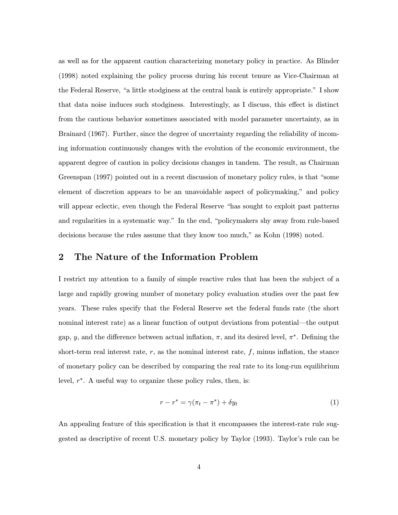as well as for the apparent caution characterizing monetary policy in practice. As Blinder (1998) noted explaining the policy process during his recent tenure as Vice-Chairman at the Federal Reserve, "a little stodginess at the central bank is entirely appropriate." I show that data noise induces such stodginess. Interestingly, as I discuss, this effect is distinct from the cautious behavior sometimes associated with model parameter uncertainty, as in Brainard (1967). Further, since the degree of uncertainty regarding the reliability of incoming information continuously changes with the evolution of the economic environment, the apparent degree of caution in policy decisions changes in tandem. The result, as Chairman Greenspan (1997) pointed out in a recent discussion of monetary policy rules, is that "some element of discretion appears to be an unavoidable aspect of policymaking," and policy will appear eclectic, even though the Federal Reserve "has sought to exploit past patterns and regularities in a systematic way." In the end, "policymakers shy away from rule-based decisions because the rules assume that they know too much," as Kohn (1998) noted.

## 2 The Nature of the Information Problem

I restrict my attention to a family of simple reactive rules that has been the subject of a large and rapidly growing number of monetary policy evaluation studies over the past few years. These rules specify that the Federal Reserve set the federal funds rate (the short nominal interest rate) as a linear function of output deviations from potential—the output gap, y, and the difference between actual inflation,  $\pi$ , and its desired level,  $\pi^*$ . Defining the short-term real interest rate,  $r$ , as the nominal interest rate,  $f$ , minus inflation, the stance of monetary policy can be described by comparing the real rate to its long-run equilibrium level,  $r^*$ . A useful way to organize these policy rules, then, is:

$$
r - r^* = \gamma(\pi_t - \pi^*) + \delta y_t \tag{1}
$$

An appealing feature of this specification is that it encompasses the interest-rate rule suggested as descriptive of recent U.S. monetary policy by Taylor (1993). Taylor's rule can be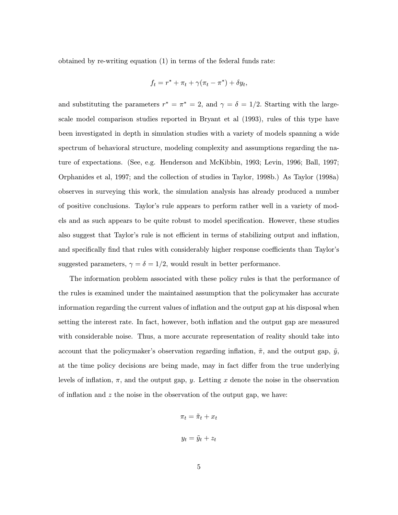obtained by re-writing equation (1) in terms of the federal funds rate:

$$
f_t = r^* + \pi_t + \gamma(\pi_t - \pi^*) + \delta y_t,
$$

and substituting the parameters  $r^* = \pi^* = 2$ , and  $\gamma = \delta = 1/2$ . Starting with the largescale model comparison studies reported in Bryant et al (1993), rules of this type have been investigated in depth in simulation studies with a variety of models spanning a wide spectrum of behavioral structure, modeling complexity and assumptions regarding the nature of expectations. (See, e.g. Henderson and McKibbin, 1993; Levin, 1996; Ball, 1997; Orphanides et al, 1997; and the collection of studies in Taylor, 1998b.) As Taylor (1998a) observes in surveying this work, the simulation analysis has already produced a number of positive conclusions. Taylor's rule appears to perform rather well in a variety of models and as such appears to be quite robust to model specification. However, these studies also suggest that Taylor's rule is not efficient in terms of stabilizing output and inflation, and specifically find that rules with considerably higher response coefficients than Taylor's suggested parameters,  $\gamma=\delta=1/2,$  would result in better performance.

The information problem associated with these policy rules is that the performance of the rules is examined under the maintained assumption that the policymaker has accurate information regarding the current values of inflation and the output gap at his disposal when setting the interest rate. In fact, however, both inflation and the output gap are measured with considerable noise. Thus, a more accurate representation of reality should take into account that the policymaker's observation regarding inflation,  $\tilde{\pi}$ , and the output gap,  $\tilde{y}$ , at the time policy decisions are being made, may in fact differ from the true underlying levels of inflation,  $\pi$ , and the output gap, y. Letting x denote the noise in the observation of inflation and  $z$  the noise in the observation of the output gap, we have:

$$
\pi_t = \tilde{\pi}_t + x_t
$$

$$
y_t = \tilde{y}_t + z_t
$$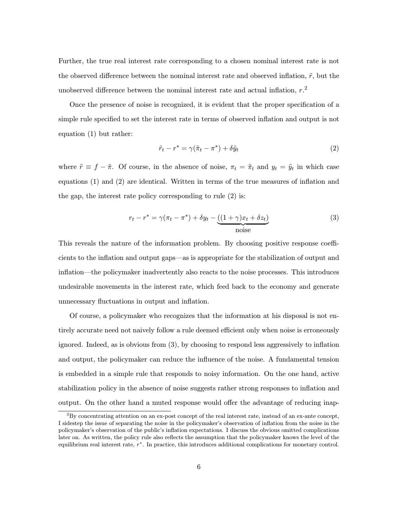Further, the true real interest rate corresponding to a chosen nominal interest rate is not the observed difference between the nominal interest rate and observed inflation,  $\tilde{r}$ , but the unobserved difference between the nominal interest rate and actual inflation,  $r<sup>2</sup>$ .

Once the presence of noise is recognized, it is evident that the proper specification of a simple rule specified to set the interest rate in terms of observed inflation and output is not equation (1) but rather:

$$
\tilde{r}_t - r^* = \gamma(\tilde{\pi}_t - \pi^*) + \delta \tilde{y}_t \tag{2}
$$

where  $\tilde{r} \equiv f - \tilde{\pi}$ . Of course, in the absence of noise,  $\pi_t = \tilde{\pi}_t$  and  $y_t = \tilde{y}_t$  in which case equations (1) and (2) are identical. Written in terms of the true measures of inflation and the gap, the interest rate policy corresponding to rule (2) is:

$$
r_t - r^* = \gamma(\pi_t - \pi^*) + \delta y_t - \underbrace{((1 + \gamma)x_t + \delta z_t)}_{\text{noise}}
$$
\n
$$
(3)
$$

This reveals the nature of the information problem. By choosing positive response coefficients to the inflation and output gaps—as is appropriate for the stabilization of output and inflation—the policymaker inadvertently also reacts to the noise processes. This introduces undesirable movements in the interest rate, which feed back to the economy and generate unnecessary fluctuations in output and inflation.

Of course, a policymaker who recognizes that the information at his disposal is not entirely accurate need not naively follow a rule deemed efficient only when noise is erroneously ignored. Indeed, as is obvious from (3), by choosing to respond less aggressively to inflation and output, the policymaker can reduce the influence of the noise. A fundamental tension is embedded in a simple rule that responds to noisy information. On the one hand, active stabilization policy in the absence of noise suggests rather strong responses to inflation and output. On the other hand a muted response would offer the advantage of reducing inap-

 ${}^{2}$ By concentrating attention on an ex-post concept of the real interest rate, instead of an ex-ante concept, I sidestep the issue of separating the noise in the policymaker's observation of inflation from the noise in the policymaker's observation of the public's inflation expectations. I discuss the obvious omitted complications later on. As written, the policy rule also reflects the assumption that the policymaker knows the level of the equilibrium real interest rate,  $r<sup>*</sup>$ . In practice, this introduces additional complications for monetary control.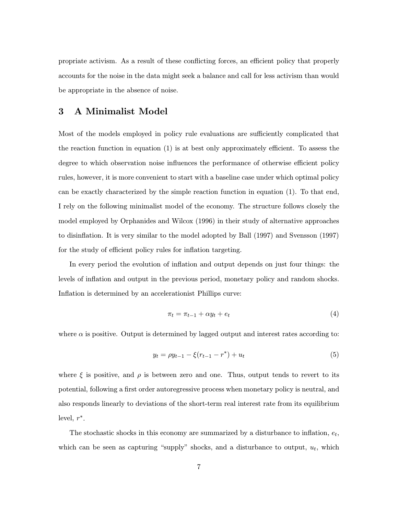propriate activism. As a result of these conflicting forces, an efficient policy that properly accounts for the noise in the data might seek a balance and call for less activism than would be appropriate in the absence of noise.

# 3 A Minimalist Model

Most of the models employed in policy rule evaluations are sufficiently complicated that the reaction function in equation (1) is at best only approximately efficient. To assess the degree to which observation noise influences the performance of otherwise efficient policy rules, however, it is more convenient to start with a baseline case under which optimal policy can be exactly characterized by the simple reaction function in equation (1). To that end, I rely on the following minimalist model of the economy. The structure follows closely the model employed by Orphanides and Wilcox (1996) in their study of alternative approaches to disinflation. It is very similar to the model adopted by Ball (1997) and Svensson (1997) for the study of efficient policy rules for inflation targeting.

In every period the evolution of inflation and output depends on just four things: the levels of inflation and output in the previous period, monetary policy and random shocks. Inflation is determined by an accelerationist Phillips curve:

$$
\pi_t = \pi_{t-1} + \alpha y_t + e_t \tag{4}
$$

where  $\alpha$  is positive. Output is determined by lagged output and interest rates according to:

$$
y_t = \rho y_{t-1} - \xi (r_{t-1} - r^*) + u_t \tag{5}
$$

where  $\xi$  is positive, and  $\rho$  is between zero and one. Thus, output tends to revert to its potential, following a first order autoregressive process when monetary policy is neutral, and also responds linearly to deviations of the short-term real interest rate from its equilibrium level,  $r^*$ .

The stochastic shocks in this economy are summarized by a disturbance to inflation,  $e_t$ , which can be seen as capturing "supply" shocks, and a disturbance to output,  $u_t$ , which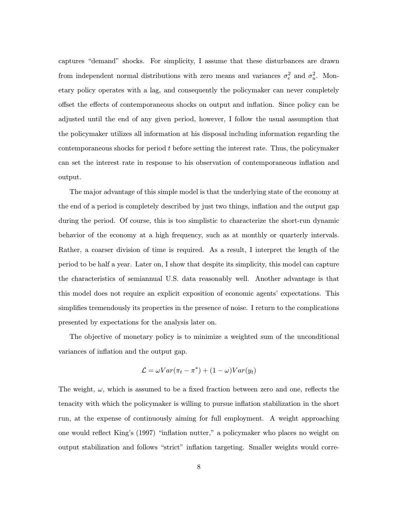captures "demand" shocks. For simplicity, I assume that these disturbances are drawn from independent normal distributions with zero means and variances  $\sigma_e^2$  and  $\sigma_u^2$ . Monetary policy operates with a lag, and consequently the policymaker can never completely offset the effects of contemporaneous shocks on output and inflation. Since policy can be adjusted until the end of any given period, however, I follow the usual assumption that the policymaker utilizes all information at his disposal including information regarding the contemporaneous shocks for period  $t$  before setting the interest rate. Thus, the policymaker can set the interest rate in response to his observation of contemporaneous inflation and output.

The major advantage of this simple model is that the underlying state of the economy at the end of a period is completely described by just two things, inflation and the output gap during the period. Of course, this is too simplistic to characterize the short-run dynamic behavior of the economy at a high frequency, such as at monthly or quarterly intervals. Rather, a coarser division of time is required. As a result, I interpret the length of the period to be half a year. Later on, I show that despite its simplicity, this model can capture the characteristics of semiannual U.S. data reasonably well. Another advantage is that this model does not require an explicit exposition of economic agents' expectations. This simplifies tremendously its properties in the presence of noise. I return to the complications presented by expectations for the analysis later on.

The objective of monetary policy is to minimize a weighted sum of the unconditional variances of inflation and the output gap.

$$
\mathcal{L} = \omega Var(\pi_t - \pi^*) + (1 - \omega)Var(y_t)
$$

The weight,  $\omega$ , which is assumed to be a fixed fraction between zero and one, reflects the tenacity with which the policymaker is willing to pursue inflation stabilization in the short run, at the expense of continuously aiming for full employment. A weight approaching one would reflect King's (1997) "inflation nutter," a policymaker who places no weight on output stabilization and follows "strict" inflation targeting. Smaller weights would corre-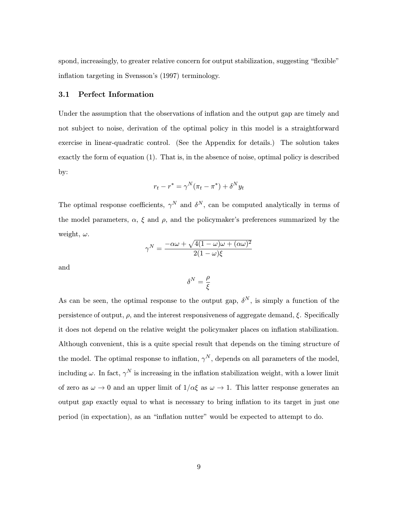spond, increasingly, to greater relative concern for output stabilization, suggesting "flexible" inflation targeting in Svensson's (1997) terminology.

## 3.1 Perfect Information

Under the assumption that the observations of inflation and the output gap are timely and not subject to noise, derivation of the optimal policy in this model is a straightforward exercise in linear-quadratic control. (See the Appendix for details.) The solution takes exactly the form of equation (1). That is, in the absence of noise, optimal policy is described by:

$$
r_t - r^* = \gamma^N(\pi_t - \pi^*) + \delta^N y_t
$$

The optimal response coefficients,  $\gamma^N$  and  $\delta^N$ , can be computed analytically in terms of the model parameters,  $\alpha$ ,  $\xi$  and  $\rho$ , and the policymaker's preferences summarized by the weight,  $\omega$ .

$$
\gamma^N = \frac{-\alpha \omega + \sqrt{4(1-\omega)\omega + (\alpha \omega)^2}}{2(1-\omega)\xi}
$$

and

$$
\delta^N=\frac{\rho}{\xi}
$$

As can be seen, the optimal response to the output gap,  $\delta^N$ , is simply a function of the persistence of output,  $\rho$ , and the interest responsiveness of aggregate demand,  $\xi$ . Specifically it does not depend on the relative weight the policymaker places on inflation stabilization. Although convenient, this is a quite special result that depends on the timing structure of the model. The optimal response to inflation,  $\gamma^N$ , depends on all parameters of the model, including  $\omega$ . In fact,  $\gamma^N$  is increasing in the inflation stabilization weight, with a lower limit of zero as  $\omega \to 0$  and an upper limit of  $1/\alpha\xi$  as  $\omega \to 1$ . This latter response generates an output gap exactly equal to what is necessary to bring inflation to its target in just one period (in expectation), as an "inflation nutter" would be expected to attempt to do.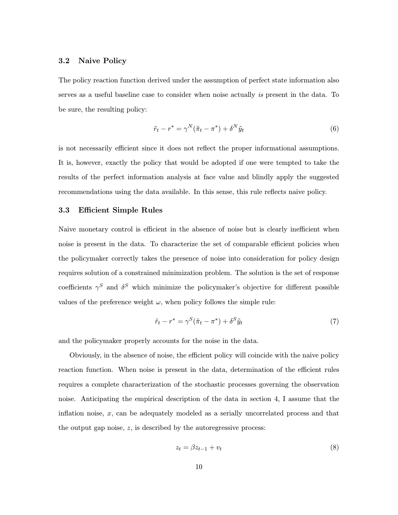### 3.2 Naive Policy

The policy reaction function derived under the assumption of perfect state information also serves as a useful baseline case to consider when noise actually is present in the data. To be sure, the resulting policy:

$$
\tilde{r}_t - r^* = \gamma^N (\tilde{\pi}_t - \pi^*) + \delta^N \tilde{y}_t \tag{6}
$$

is not necessarily efficient since it does not reflect the proper informational assumptions. It is, however, exactly the policy that would be adopted if one were tempted to take the results of the perfect information analysis at face value and blindly apply the suggested recommendations using the data available. In this sense, this rule reflects naive policy.

#### 3.3 Efficient Simple Rules

Naive monetary control is efficient in the absence of noise but is clearly inefficient when noise is present in the data. To characterize the set of comparable efficient policies when the policymaker correctly takes the presence of noise into consideration for policy design requires solution of a constrained minimization problem. The solution is the set of response coefficients  $\gamma^S$  and  $\delta^S$  which minimize the policymaker's objective for different possible values of the preference weight  $\omega$ , when policy follows the simple rule:

$$
\tilde{r}_t - r^* = \gamma^S (\tilde{\pi}_t - \pi^*) + \delta^S \tilde{y}_t \tag{7}
$$

and the policymaker properly accounts for the noise in the data.

Obviously, in the absence of noise, the efficient policy will coincide with the naive policy reaction function. When noise is present in the data, determination of the efficient rules requires a complete characterization of the stochastic processes governing the observation noise. Anticipating the empirical description of the data in section 4, I assume that the inflation noise, x, can be adequately modeled as a serially uncorrelated process and that the output gap noise, z, is described by the autoregressive process:

$$
z_t = \beta z_{t-1} + v_t \tag{8}
$$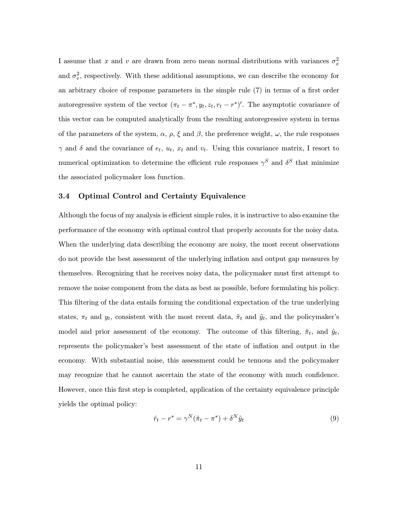I assume that x and v are drawn from zero mean normal distributions with variances  $\sigma_x^2$ and  $\sigma_v^2$ , respectively. With these additional assumptions, we can describe the economy for an arbitrary choice of response parameters in the simple rule (7) in terms of a first order autoregressive system of the vector  $(\pi_t - \pi^*, y_t, z_t, r_t - r^*)'$ . The asymptotic covariance of this vector can be computed analytically from the resulting autoregressive system in terms of the parameters of the system,  $\alpha$ ,  $\rho$ ,  $\xi$  and  $\beta$ , the preference weight,  $\omega$ , the rule responses  $\gamma$  and  $\delta$  and the covariance of  $e_t$ ,  $u_t$ ,  $x_t$  and  $v_t$ . Using this covariance matrix, I resort to numerical optimization to determine the efficient rule responses  $\gamma^S$  and  $\delta^S$  that minimize the associated policymaker loss function.

### 3.4 Optimal Control and Certainty Equivalence

Although the focus of my analysis is efficient simple rules, it is instructive to also examine the performance of the economy with optimal control that properly accounts for the noisy data. When the underlying data describing the economy are noisy, the most recent observations do not provide the best assessment of the underlying inflation and output gap measures by themselves. Recognizing that he receives noisy data, the policymaker must first attempt to remove the noise component from the data as best as possible, before formulating his policy. This filtering of the data entails forming the conditional expectation of the true underlying states,  $\pi_t$  and  $y_t$ , consistent with the most recent data,  $\tilde{\pi}_t$  and  $\tilde{y}_t$ , and the policymaker's model and prior assessment of the economy. The outcome of this filtering,  $\hat{\pi}_t$ , and  $\hat{y}_t$ , represents the policymaker's best assessment of the state of inflation and output in the economy. With substantial noise, this assessment could be tenuous and the policymaker may recognize that he cannot ascertain the state of the economy with much confidence. However, once this first step is completed, application of the certainty equivalence principle yields the optimal policy:

$$
\hat{r}_t - r^* = \gamma^N (\hat{\pi}_t - \pi^*) + \delta^N \hat{y}_t \tag{9}
$$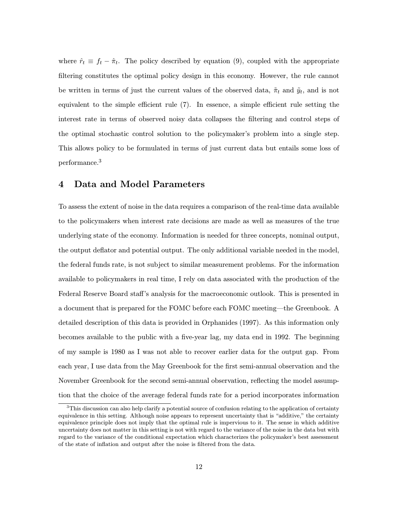where  $\hat{r}_t \equiv f_t - \hat{\pi}_t$ . The policy described by equation (9), coupled with the appropriate filtering constitutes the optimal policy design in this economy. However, the rule cannot be written in terms of just the current values of the observed data,  $\tilde{\pi}_t$  and  $\tilde{y}_t$ , and is not equivalent to the simple efficient rule (7). In essence, a simple efficient rule setting the interest rate in terms of observed noisy data collapses the filtering and control steps of the optimal stochastic control solution to the policymaker's problem into a single step. This allows policy to be formulated in terms of just current data but entails some loss of performance.<sup>3</sup>

## 4 Data and Model Parameters

To assess the extent of noise in the data requires a comparison of the real-time data available to the policymakers when interest rate decisions are made as well as measures of the true underlying state of the economy. Information is needed for three concepts, nominal output, the output deflator and potential output. The only additional variable needed in the model, the federal funds rate, is not subject to similar measurement problems. For the information available to policymakers in real time, I rely on data associated with the production of the Federal Reserve Board staff's analysis for the macroeconomic outlook. This is presented in a document that is prepared for the FOMC before each FOMC meeting—the Greenbook. A detailed description of this data is provided in Orphanides (1997). As this information only becomes available to the public with a five-year lag, my data end in 1992. The beginning of my sample is 1980 as I was not able to recover earlier data for the output gap. From each year, I use data from the May Greenbook for the first semi-annual observation and the November Greenbook for the second semi-annual observation, reflecting the model assumption that the choice of the average federal funds rate for a period incorporates information

 $3$ This discussion can also help clarify a potential source of confusion relating to the application of certainty equivalence in this setting. Although noise appears to represent uncertainty that is "additive," the certainty equivalence principle does not imply that the optimal rule is impervious to it. The sense in which additive uncertainty does not matter in this setting is not with regard to the variance of the noise in the data but with regard to the variance of the conditional expectation which characterizes the policymaker's best assessment of the state of inflation and output after the noise is filtered from the data.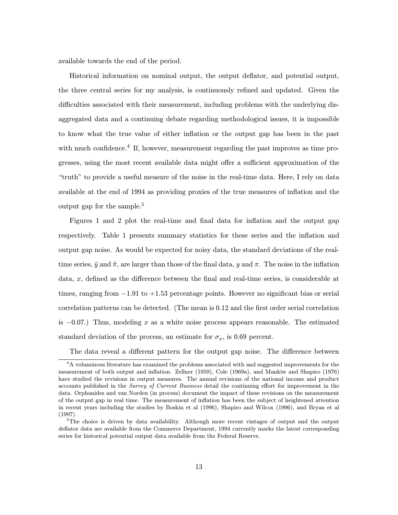available towards the end of the period.

Historical information on nominal output, the output deflator, and potential output, the three central series for my analysis, is continuously refined and updated. Given the difficulties associated with their measurement, including problems with the underlying disaggregated data and a continuing debate regarding methodological issues, it is impossible to know what the true value of either inflation or the output gap has been in the past with much confidence.<sup>4</sup> If, however, measurement regarding the past improves as time progresses, using the most recent available data might offer a sufficient approximation of the "truth" to provide a useful measure of the noise in the real-time data. Here, I rely on data available at the end of 1994 as providing proxies of the true measures of inflation and the output gap for the sample.<sup>5</sup>

Figures 1 and 2 plot the real-time and final data for inflation and the output gap respectively. Table 1 presents summary statistics for these series and the inflation and output gap noise. As would be expected for noisy data, the standard deviations of the realtime series,  $\tilde{y}$  and  $\tilde{\pi}$ , are larger than those of the final data, y and  $\pi$ . The noise in the inflation data, x, defined as the difference between the final and real-time series, is considerable at times, ranging from −1.91 to +1.53 percentage points. However no significant bias or serial correlation patterns can be detected. (The mean is 0.12 and the first order serial correlation is  $-0.07$ .) Thus, modeling x as a white noise process appears reasonable. The estimated standard deviation of the process, an estimate for  $\sigma_x$ , is 0.69 percent.

The data reveal a different pattern for the output gap noise. The difference between

<sup>4</sup>A voluminous literature has examined the problems associated with and suggested improvements for the measurement of both output and inflation. Zellner (1959), Cole (1969a), and Mankiw and Shapiro (1976) have studied the revisions in output measures. The annual revisions of the national income and product accounts published in the Survey of Current Business detail the continuing effort for improvement in the data. Orphanides and van Norden (in process) document the impact of these revisions on the measurement of the output gap in real time. The measurement of inflation has been the subject of heightened attention in recent years including the studies by Boskin et al (1996), Shapiro and Wilcox (1996), and Bryan et al (1997).

<sup>&</sup>lt;sup>5</sup>The choice is driven by data availability. Although more recent vintages of output and the output deflator data are available from the Commerce Department, 1994 currently marks the latest corresponding series for historical potential output data available from the Federal Reserve.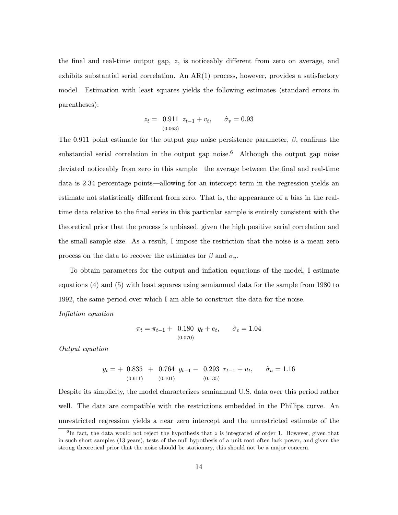the final and real-time output gap, z, is noticeably different from zero on average, and exhibits substantial serial correlation. An AR(1) process, however, provides a satisfactory model. Estimation with least squares yields the following estimates (standard errors in parentheses):

$$
z_t = 0.911 \t z_{t-1} + v_t, \t \hat{\sigma}_v = 0.93
$$
  
(0.063)

The 0.911 point estimate for the output gap noise persistence parameter,  $\beta$ , confirms the substantial serial correlation in the output gap noise.<sup>6</sup> Although the output gap noise deviated noticeably from zero in this sample—the average between the final and real-time data is 2.34 percentage points—allowing for an intercept term in the regression yields an estimate not statistically different from zero. That is, the appearance of a bias in the realtime data relative to the final series in this particular sample is entirely consistent with the theoretical prior that the process is unbiased, given the high positive serial correlation and the small sample size. As a result, I impose the restriction that the noise is a mean zero process on the data to recover the estimates for  $\beta$  and  $\sigma_v$ .

To obtain parameters for the output and inflation equations of the model, I estimate equations (4) and (5) with least squares using semiannual data for the sample from 1980 to 1992, the same period over which I am able to construct the data for the noise.

Inflation equation

$$
\pi_t = \pi_{t-1} + 0.180 \ y_t + e_t, \quad \hat{\sigma}_e = 1.04
$$
  
(0.070)

Output equation

$$
y_t = + 0.835 + 0.764 y_{t-1} - 0.293 r_{t-1} + u_t, \quad \hat{\sigma}_u = 1.16
$$
  
(0.611) (0.101) (0.135)

Despite its simplicity, the model characterizes semiannual U.S. data over this period rather well. The data are compatible with the restrictions embedded in the Phillips curve. An unrestricted regression yields a near zero intercept and the unrestricted estimate of the

 ${}^{6}$ In fact, the data would not reject the hypothesis that z is integrated of order 1. However, given that in such short samples (13 years), tests of the null hypothesis of a unit root often lack power, and given the strong theoretical prior that the noise should be stationary, this should not be a major concern.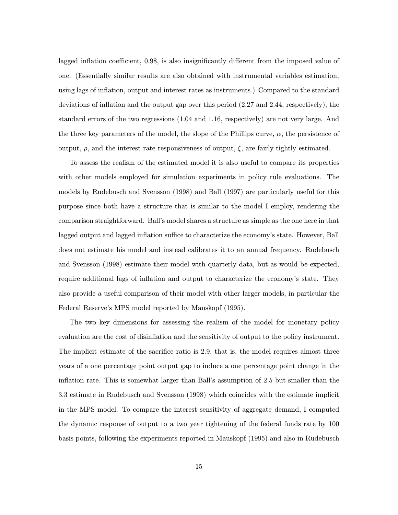lagged inflation coefficient, 0.98, is also insignificantly different from the imposed value of one. (Essentially similar results are also obtained with instrumental variables estimation, using lags of inflation, output and interest rates as instruments.) Compared to the standard deviations of inflation and the output gap over this period (2.27 and 2.44, respectively), the standard errors of the two regressions (1.04 and 1.16, respectively) are not very large. And the three key parameters of the model, the slope of the Phillips curve,  $\alpha$ , the persistence of output,  $\rho$ , and the interest rate responsiveness of output,  $\xi$ , are fairly tightly estimated.

To assess the realism of the estimated model it is also useful to compare its properties with other models employed for simulation experiments in policy rule evaluations. The models by Rudebusch and Svensson (1998) and Ball (1997) are particularly useful for this purpose since both have a structure that is similar to the model I employ, rendering the comparison straightforward. Ball's model shares a structure as simple as the one here in that lagged output and lagged inflation suffice to characterize the economy's state. However, Ball does not estimate his model and instead calibrates it to an annual frequency. Rudebusch and Svensson (1998) estimate their model with quarterly data, but as would be expected, require additional lags of inflation and output to characterize the economy's state. They also provide a useful comparison of their model with other larger models, in particular the Federal Reserve's MPS model reported by Mauskopf (1995).

The two key dimensions for assessing the realism of the model for monetary policy evaluation are the cost of disinflation and the sensitivity of output to the policy instrument. The implicit estimate of the sacrifice ratio is 2.9, that is, the model requires almost three years of a one percentage point output gap to induce a one percentage point change in the inflation rate. This is somewhat larger than Ball's assumption of 2.5 but smaller than the 3.3 estimate in Rudebusch and Svensson (1998) which coincides with the estimate implicit in the MPS model. To compare the interest sensitivity of aggregate demand, I computed the dynamic response of output to a two year tightening of the federal funds rate by 100 basis points, following the experiments reported in Mauskopf (1995) and also in Rudebusch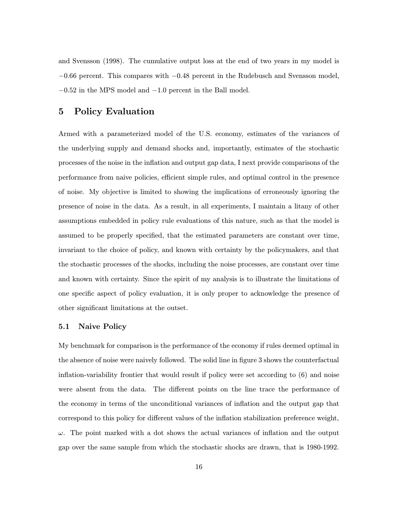and Svensson (1998). The cumulative output loss at the end of two years in my model is  $-0.66$  percent. This compares with  $-0.48$  percent in the Rudebusch and Svensson model, −0.52 in the MPS model and −1.0 percent in the Ball model.

# 5 Policy Evaluation

Armed with a parameterized model of the U.S. economy, estimates of the variances of the underlying supply and demand shocks and, importantly, estimates of the stochastic processes of the noise in the inflation and output gap data, I next provide comparisons of the performance from naive policies, efficient simple rules, and optimal control in the presence of noise. My objective is limited to showing the implications of erroneously ignoring the presence of noise in the data. As a result, in all experiments, I maintain a litany of other assumptions embedded in policy rule evaluations of this nature, such as that the model is assumed to be properly specified, that the estimated parameters are constant over time, invariant to the choice of policy, and known with certainty by the policymakers, and that the stochastic processes of the shocks, including the noise processes, are constant over time and known with certainty. Since the spirit of my analysis is to illustrate the limitations of one specific aspect of policy evaluation, it is only proper to acknowledge the presence of other significant limitations at the outset.

### 5.1 Naive Policy

My benchmark for comparison is the performance of the economy if rules deemed optimal in the absence of noise were naively followed. The solid line in figure 3 shows the counterfactual inflation-variability frontier that would result if policy were set according to (6) and noise were absent from the data. The different points on the line trace the performance of the economy in terms of the unconditional variances of inflation and the output gap that correspond to this policy for different values of the inflation stabilization preference weight,  $\omega$ . The point marked with a dot shows the actual variances of inflation and the output gap over the same sample from which the stochastic shocks are drawn, that is 1980-1992.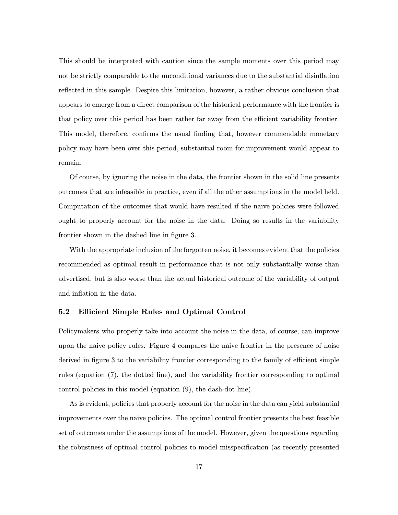This should be interpreted with caution since the sample moments over this period may not be strictly comparable to the unconditional variances due to the substantial disinflation reflected in this sample. Despite this limitation, however, a rather obvious conclusion that appears to emerge from a direct comparison of the historical performance with the frontier is that policy over this period has been rather far away from the efficient variability frontier. This model, therefore, confirms the usual finding that, however commendable monetary policy may have been over this period, substantial room for improvement would appear to remain.

Of course, by ignoring the noise in the data, the frontier shown in the solid line presents outcomes that are infeasible in practice, even if all the other assumptions in the model held. Computation of the outcomes that would have resulted if the naive policies were followed ought to properly account for the noise in the data. Doing so results in the variability frontier shown in the dashed line in figure 3.

With the appropriate inclusion of the forgotten noise, it becomes evident that the policies recommended as optimal result in performance that is not only substantially worse than advertised, but is also worse than the actual historical outcome of the variability of output and inflation in the data.

#### 5.2 Efficient Simple Rules and Optimal Control

Policymakers who properly take into account the noise in the data, of course, can improve upon the naive policy rules. Figure 4 compares the naive frontier in the presence of noise derived in figure 3 to the variability frontier corresponding to the family of efficient simple rules (equation (7), the dotted line), and the variability frontier corresponding to optimal control policies in this model (equation (9), the dash-dot line).

As is evident, policies that properly account for the noise in the data can yield substantial improvements over the naive policies. The optimal control frontier presents the best feasible set of outcomes under the assumptions of the model. However, given the questions regarding the robustness of optimal control policies to model misspecification (as recently presented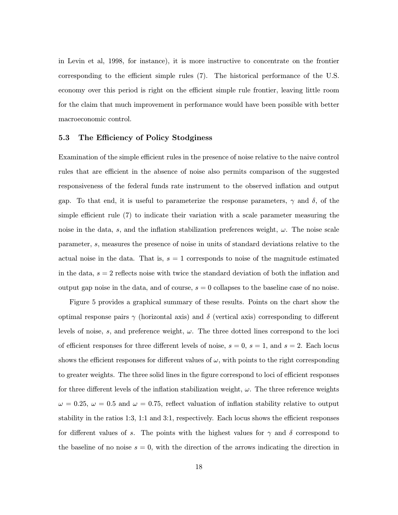in Levin et al, 1998, for instance), it is more instructive to concentrate on the frontier corresponding to the efficient simple rules (7). The historical performance of the U.S. economy over this period is right on the efficient simple rule frontier, leaving little room for the claim that much improvement in performance would have been possible with better macroeconomic control.

#### 5.3 The Efficiency of Policy Stodginess

Examination of the simple efficient rules in the presence of noise relative to the naive control rules that are efficient in the absence of noise also permits comparison of the suggested responsiveness of the federal funds rate instrument to the observed inflation and output gap. To that end, it is useful to parameterize the response parameters,  $\gamma$  and  $\delta$ , of the simple efficient rule (7) to indicate their variation with a scale parameter measuring the noise in the data, s, and the inflation stabilization preferences weight,  $\omega$ . The noise scale parameter, s, measures the presence of noise in units of standard deviations relative to the actual noise in the data. That is,  $s = 1$  corresponds to noise of the magnitude estimated in the data,  $s = 2$  reflects noise with twice the standard deviation of both the inflation and output gap noise in the data, and of course,  $s = 0$  collapses to the baseline case of no noise.

Figure 5 provides a graphical summary of these results. Points on the chart show the optimal response pairs  $\gamma$  (horizontal axis) and  $\delta$  (vertical axis) corresponding to different levels of noise, s, and preference weight,  $\omega$ . The three dotted lines correspond to the loci of efficient responses for three different levels of noise,  $s = 0$ ,  $s = 1$ , and  $s = 2$ . Each locus shows the efficient responses for different values of  $\omega$ , with points to the right corresponding to greater weights. The three solid lines in the figure correspond to loci of efficient responses for three different levels of the inflation stabilization weight,  $\omega$ . The three reference weights  $\omega = 0.25, \ \omega = 0.5$  and  $\omega = 0.75$ , reflect valuation of inflation stability relative to output stability in the ratios 1:3, 1:1 and 3:1, respectively. Each locus shows the efficient responses for different values of s. The points with the highest values for  $\gamma$  and  $\delta$  correspond to the baseline of no noise  $s = 0$ , with the direction of the arrows indicating the direction in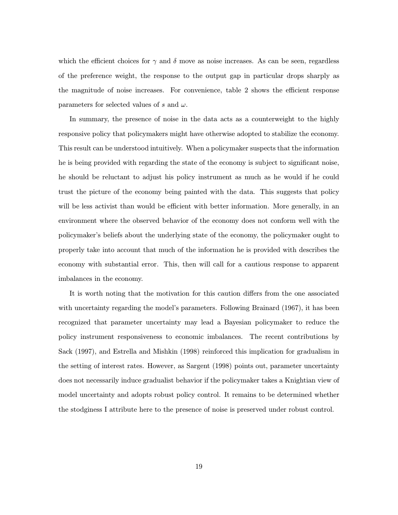which the efficient choices for  $\gamma$  and  $\delta$  move as noise increases. As can be seen, regardless of the preference weight, the response to the output gap in particular drops sharply as the magnitude of noise increases. For convenience, table 2 shows the efficient response parameters for selected values of s and  $\omega$ .

In summary, the presence of noise in the data acts as a counterweight to the highly responsive policy that policymakers might have otherwise adopted to stabilize the economy. This result can be understood intuitively. When a policymaker suspects that the information he is being provided with regarding the state of the economy is subject to significant noise, he should be reluctant to adjust his policy instrument as much as he would if he could trust the picture of the economy being painted with the data. This suggests that policy will be less activist than would be efficient with better information. More generally, in an environment where the observed behavior of the economy does not conform well with the policymaker's beliefs about the underlying state of the economy, the policymaker ought to properly take into account that much of the information he is provided with describes the economy with substantial error. This, then will call for a cautious response to apparent imbalances in the economy.

It is worth noting that the motivation for this caution differs from the one associated with uncertainty regarding the model's parameters. Following Brainard (1967), it has been recognized that parameter uncertainty may lead a Bayesian policymaker to reduce the policy instrument responsiveness to economic imbalances. The recent contributions by Sack (1997), and Estrella and Mishkin (1998) reinforced this implication for gradualism in the setting of interest rates. However, as Sargent (1998) points out, parameter uncertainty does not necessarily induce gradualist behavior if the policymaker takes a Knightian view of model uncertainty and adopts robust policy control. It remains to be determined whether the stodginess I attribute here to the presence of noise is preserved under robust control.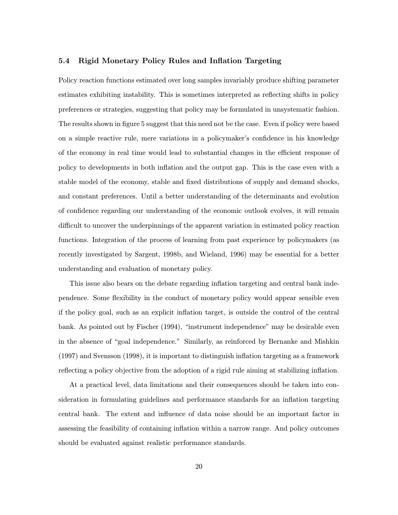## 5.4 Rigid Monetary Policy Rules and Inflation Targeting

Policy reaction functions estimated over long samples invariably produce shifting parameter estimates exhibiting instability. This is sometimes interpreted as reflecting shifts in policy preferences or strategies, suggesting that policy may be formulated in unsystematic fashion. The results shown in figure 5 suggest that this need not be the case. Even if policy were based on a simple reactive rule, mere variations in a policymaker's confidence in his knowledge of the economy in real time would lead to substantial changes in the efficient response of policy to developments in both inflation and the output gap. This is the case even with a stable model of the economy, stable and fixed distributions of supply and demand shocks, and constant preferences. Until a better understanding of the determinants and evolution of confidence regarding our understanding of the economic outlook evolves, it will remain difficult to uncover the underpinnings of the apparent variation in estimated policy reaction functions. Integration of the process of learning from past experience by policymakers (as recently investigated by Sargent, 1998b, and Wieland, 1996) may be essential for a better understanding and evaluation of monetary policy.

This issue also bears on the debate regarding inflation targeting and central bank independence. Some flexibility in the conduct of monetary policy would appear sensible even if the policy goal, such as an explicit inflation target, is outside the control of the central bank. As pointed out by Fischer (1994), "instrument independence" may be desirable even in the absence of "goal independence." Similarly, as reinforced by Bernanke and Mishkin (1997) and Svensson (1998), it is important to distinguish inflation targeting as a framework reflecting a policy objective from the adoption of a rigid rule aiming at stabilizing inflation.

At a practical level, data limitations and their consequences should be taken into consideration in formulating guidelines and performance standards for an inflation targeting central bank. The extent and influence of data noise should be an important factor in assessing the feasibility of containing inflation within a narrow range. And policy outcomes should be evaluated against realistic performance standards.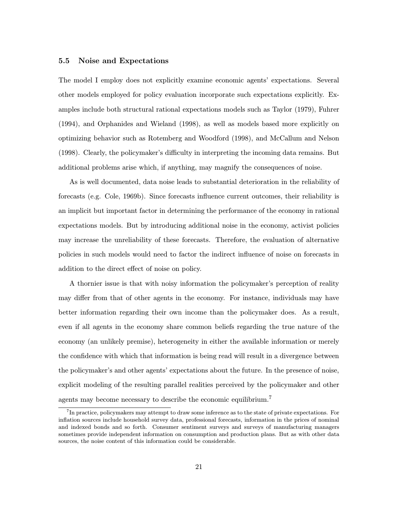### 5.5 Noise and Expectations

The model I employ does not explicitly examine economic agents' expectations. Several other models employed for policy evaluation incorporate such expectations explicitly. Examples include both structural rational expectations models such as Taylor (1979), Fuhrer (1994), and Orphanides and Wieland (1998), as well as models based more explicitly on optimizing behavior such as Rotemberg and Woodford (1998), and McCallum and Nelson (1998). Clearly, the policymaker's difficulty in interpreting the incoming data remains. But additional problems arise which, if anything, may magnify the consequences of noise.

As is well documented, data noise leads to substantial deterioration in the reliability of forecasts (e.g. Cole, 1969b). Since forecasts influence current outcomes, their reliability is an implicit but important factor in determining the performance of the economy in rational expectations models. But by introducing additional noise in the economy, activist policies may increase the unreliability of these forecasts. Therefore, the evaluation of alternative policies in such models would need to factor the indirect influence of noise on forecasts in addition to the direct effect of noise on policy.

A thornier issue is that with noisy information the policymaker's perception of reality may differ from that of other agents in the economy. For instance, individuals may have better information regarding their own income than the policymaker does. As a result, even if all agents in the economy share common beliefs regarding the true nature of the economy (an unlikely premise), heterogeneity in either the available information or merely the confidence with which that information is being read will result in a divergence between the policymaker's and other agents' expectations about the future. In the presence of noise, explicit modeling of the resulting parallel realities perceived by the policymaker and other agents may become necessary to describe the economic equilibrium.<sup>7</sup>

 ${}^{7}$ In practice, policymakers may attempt to draw some inference as to the state of private expectations. For inflation sources include household survey data, professional forecasts, information in the prices of nominal and indexed bonds and so forth. Consumer sentiment surveys and surveys of manufacturing managers sometimes provide independent information on consumption and production plans. But as with other data sources, the noise content of this information could be considerable.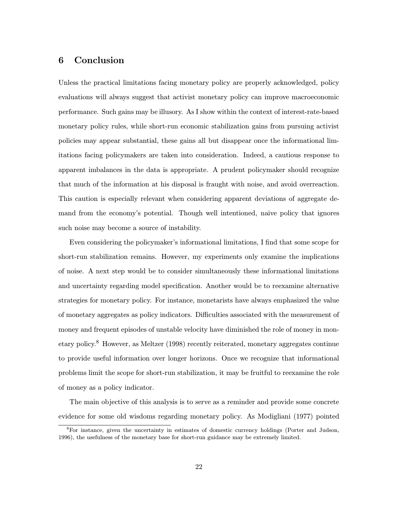# 6 Conclusion

Unless the practical limitations facing monetary policy are properly acknowledged, policy evaluations will always suggest that activist monetary policy can improve macroeconomic performance. Such gains may be illusory. As I show within the context of interest-rate-based monetary policy rules, while short-run economic stabilization gains from pursuing activist policies may appear substantial, these gains all but disappear once the informational limitations facing policymakers are taken into consideration. Indeed, a cautious response to apparent imbalances in the data is appropriate. A prudent policymaker should recognize that much of the information at his disposal is fraught with noise, and avoid overreaction. This caution is especially relevant when considering apparent deviations of aggregate demand from the economy's potential. Though well intentioned, naive policy that ignores such noise may become a source of instability.

Even considering the policymaker's informational limitations, I find that some scope for short-run stabilization remains. However, my experiments only examine the implications of noise. A next step would be to consider simultaneously these informational limitations and uncertainty regarding model specification. Another would be to reexamine alternative strategies for monetary policy. For instance, monetarists have always emphasized the value of monetary aggregates as policy indicators. Difficulties associated with the measurement of money and frequent episodes of unstable velocity have diminished the role of money in monetary policy.<sup>8</sup> However, as Meltzer (1998) recently reiterated, monetary aggregates continue to provide useful information over longer horizons. Once we recognize that informational problems limit the scope for short-run stabilization, it may be fruitful to reexamine the role of money as a policy indicator.

The main objective of this analysis is to serve as a reminder and provide some concrete evidence for some old wisdoms regarding monetary policy. As Modigliani (1977) pointed

<sup>8</sup>For instance, given the uncertainty in estimates of domestic currency holdings (Porter and Judson, 1996), the usefulness of the monetary base for short-run guidance may be extremely limited.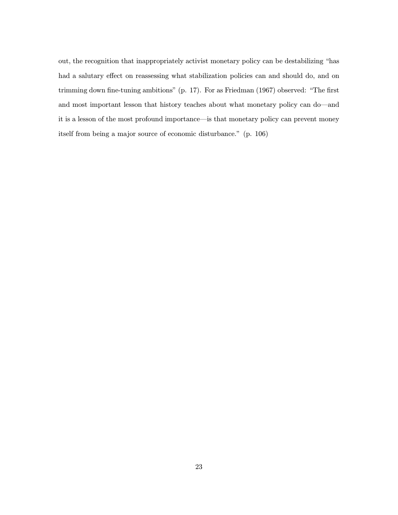out, the recognition that inappropriately activist monetary policy can be destabilizing "has had a salutary effect on reassessing what stabilization policies can and should do, and on trimming down fine-tuning ambitions" (p. 17). For as Friedman (1967) observed: "The first and most important lesson that history teaches about what monetary policy can do—and it is a lesson of the most profound importance—is that monetary policy can prevent money itself from being a major source of economic disturbance." (p. 106)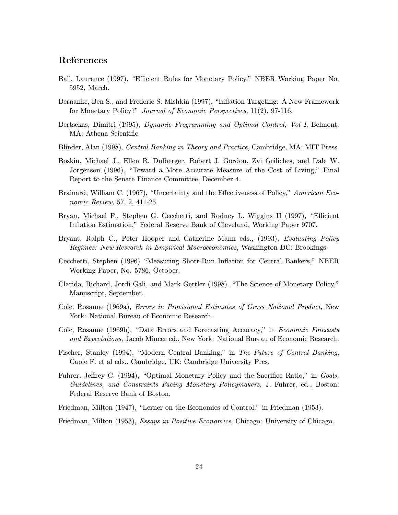# References

- Ball, Laurence (1997), "Efficient Rules for Monetary Policy," NBER Working Paper No. 5952, March.
- Bernanke, Ben S., and Frederic S. Mishkin (1997), "Inflation Targeting: A New Framework for Monetary Policy?" Journal of Economic Perspectives, 11(2), 97-116.
- Bertsekas, Dimitri (1995), Dynamic Programming and Optimal Control, Vol I, Belmont, MA: Athena Scientific.
- Blinder, Alan (1998), Central Banking in Theory and Practice, Cambridge, MA: MIT Press.
- Boskin, Michael J., Ellen R. Dulberger, Robert J. Gordon, Zvi Griliches, and Dale W. Jorgenson (1996), "Toward a More Accurate Measure of the Cost of Living," Final Report to the Senate Finance Committee, December 4.
- Brainard, William C. (1967), "Uncertainty and the Effectiveness of Policy," American Economic Review, 57, 2, 411-25.
- Bryan, Michael F., Stephen G. Cecchetti, and Rodney L. Wiggins II (1997), "Efficient Inflation Estimation," Federal Reserve Bank of Cleveland, Working Paper 9707.
- Bryant, Ralph C., Peter Hooper and Catherine Mann eds., (1993), Evaluating Policy Regimes: New Research in Empirical Macroeconomics, Washington DC: Brookings.
- Cecchetti, Stephen (1996) "Measuring Short-Run Inflation for Central Bankers," NBER Working Paper, No. 5786, October.
- Clarida, Richard, Jordi Gali, and Mark Gertler (1998), "The Science of Monetary Policy," Manuscript, September.
- Cole, Rosanne (1969a), Errors in Provisional Estimates of Gross National Product, New York: National Bureau of Economic Research.
- Cole, Rosanne (1969b), "Data Errors and Forecasting Accuracy," in Economic Forecasts and Expectations, Jacob Mincer ed., New York: National Bureau of Economic Research.
- Fischer, Stanley (1994), "Modern Central Banking," in The Future of Central Banking, Capie F. et al eds., Cambridge, UK: Cambridge University Pres.
- Fuhrer, Jeffrey C. (1994), "Optimal Monetary Policy and the Sacrifice Ratio," in Goals, Guidelines, and Constraints Facing Monetary Policymakers, J. Fuhrer, ed., Boston: Federal Reserve Bank of Boston.
- Friedman, Milton (1947), "Lerner on the Economics of Control," in Friedman (1953).

Friedman, Milton (1953), *Essays in Positive Economics*, Chicago: University of Chicago.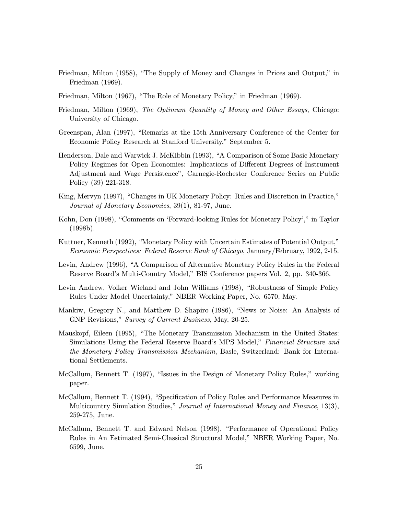- Friedman, Milton (1958), "The Supply of Money and Changes in Prices and Output," in Friedman (1969).
- Friedman, Milton (1967), "The Role of Monetary Policy," in Friedman (1969).
- Friedman, Milton (1969), The Optimum Quantity of Money and Other Essays, Chicago: University of Chicago.
- Greenspan, Alan (1997), "Remarks at the 15th Anniversary Conference of the Center for Economic Policy Research at Stanford University," September 5.
- Henderson, Dale and Warwick J. McKibbin (1993), "A Comparison of Some Basic Monetary Policy Regimes for Open Economies: Implications of Different Degrees of Instrument Adjustment and Wage Persistence", Carnegie-Rochester Conference Series on Public Policy (39) 221-318.
- King, Mervyn (1997), "Changes in UK Monetary Policy: Rules and Discretion in Practice," Journal of Monetary Economics, 39(1), 81-97, June.
- Kohn, Don (1998), "Comments on 'Forward-looking Rules for Monetary Policy'," in Taylor (1998b).
- Kuttner, Kenneth (1992), "Monetary Policy with Uncertain Estimates of Potential Output," Economic Perspectives: Federal Reserve Bank of Chicago, January/February, 1992, 2-15.
- Levin, Andrew (1996), "A Comparison of Alternative Monetary Policy Rules in the Federal Reserve Board's Multi-Country Model," BIS Conference papers Vol. 2, pp. 340-366.
- Levin Andrew, Volker Wieland and John Williams (1998), "Robustness of Simple Policy Rules Under Model Uncertainty," NBER Working Paper, No. 6570, May.
- Mankiw, Gregory N., and Matthew D. Shapiro (1986), "News or Noise: An Analysis of GNP Revisions," Survey of Current Business, May, 20-25.
- Mauskopf, Eileen (1995), "The Monetary Transmission Mechanism in the United States: Simulations Using the Federal Reserve Board's MPS Model," Financial Structure and the Monetary Policy Transmission Mechanism, Basle, Switzerland: Bank for International Settlements.
- McCallum, Bennett T. (1997), "Issues in the Design of Monetary Policy Rules," working paper.
- McCallum, Bennett T. (1994), "Specification of Policy Rules and Performance Measures in Multicountry Simulation Studies," Journal of International Money and Finance, 13(3), 259-275, June.
- McCallum, Bennett T. and Edward Nelson (1998), "Performance of Operational Policy Rules in An Estimated Semi-Classical Structural Model," NBER Working Paper, No. 6599, June.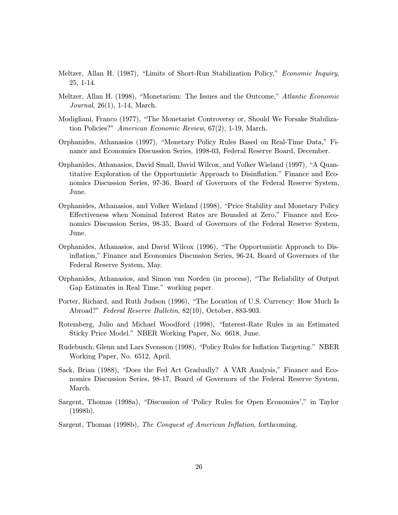- Meltzer, Allan H. (1987), "Limits of Short-Run Stabilization Policy," *Economic Inquiry*, 25, 1-14.
- Meltzer, Allan H. (1998), "Monetarism: The Issues and the Outcome," Atlantic Economic Journal, 26(1), 1-14, March.
- Modigliani, Franco (1977), "The Monetarist Controversy or, Should We Forsake Stabilization Policies?" American Economic Review, 67(2), 1-19, March.
- Orphanides, Athanasios (1997), "Monetary Policy Rules Based on Real-Time Data," Finance and Economics Discussion Series, 1998-03, Federal Reserve Board, December.
- Orphanides, Athanasios, David Small, David Wilcox, and Volker Wieland (1997), "A Quantitative Exploration of the Opportunistic Approach to Disinflation." Finance and Economics Discussion Series, 97-36, Board of Governors of the Federal Reserve System, June.
- Orphanides, Athanasios, and Volker Wieland (1998), "Price Stability and Monetary Policy Effectiveness when Nominal Interest Rates are Bounded at Zero," Finance and Economics Discussion Series, 98-35, Board of Governors of the Federal Reserve System, June.
- Orphanides, Athanasios, and David Wilcox (1996), "The Opportunistic Approach to Disinflation," Finance and Economics Discussion Series, 96-24, Board of Governors of the Federal Reserve System, May.
- Orphanides, Athanasios, and Simon van Norden (in process), "The Reliability of Output Gap Estimates in Real Time." working paper.
- Porter, Richard, and Ruth Judson (1996), "The Location of U.S. Currency: How Much Is Abroad?" Federal Reserve Bulletin, 82(10), October, 883-903.
- Rotemberg, Julio and Michael Woodford (1998), "Interest-Rate Rules in an Estimated Sticky Price Model." NBER Working Paper, No. 6618, June.
- Rudebusch, Glenn and Lars Svensson (1998), "Policy Rules for Inflation Targeting." NBER Working Paper, No. 6512, April.
- Sack, Brian (1988), "Does the Fed Act Gradually? A VAR Analysis," Finance and Economics Discussion Series, 98-17, Board of Governors of the Federal Reserve System, March.
- Sargent, Thomas (1998a), "Discussion of 'Policy Rules for Open Economies'," in Taylor (1998b).
- Sargent, Thomas (1998b), The Conquest of American Inflation, forthcoming.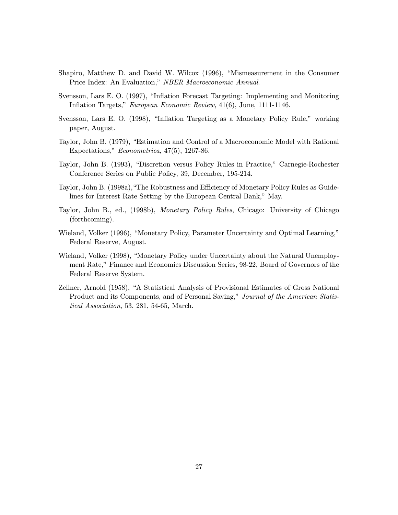- Shapiro, Matthew D. and David W. Wilcox (1996), "Mismeasurement in the Consumer Price Index: An Evaluation," NBER Macroeconomic Annual.
- Svensson, Lars E. O. (1997), "Inflation Forecast Targeting: Implementing and Monitoring Inflation Targets," European Economic Review, 41(6), June, 1111-1146.
- Svensson, Lars E. O. (1998), "Inflation Targeting as a Monetary Policy Rule," working paper, August.
- Taylor, John B. (1979), "Estimation and Control of a Macroeconomic Model with Rational Expectations," Econometrica, 47(5), 1267-86.
- Taylor, John B. (1993), "Discretion versus Policy Rules in Practice," Carnegie-Rochester Conference Series on Public Policy, 39, December, 195-214.
- Taylor, John B. (1998a),"The Robustness and Efficiency of Monetary Policy Rules as Guidelines for Interest Rate Setting by the European Central Bank," May.
- Taylor, John B., ed., (1998b), Monetary Policy Rules, Chicago: University of Chicago (forthcoming).
- Wieland, Volker (1996), "Monetary Policy, Parameter Uncertainty and Optimal Learning," Federal Reserve, August.
- Wieland, Volker (1998), "Monetary Policy under Uncertainty about the Natural Unemployment Rate," Finance and Economics Discussion Series, 98-22, Board of Governors of the Federal Reserve System.
- Zellner, Arnold (1958), "A Statistical Analysis of Provisional Estimates of Gross National Product and its Components, and of Personal Saving," Journal of the American Statistical Association, 53, 281, 54-65, March.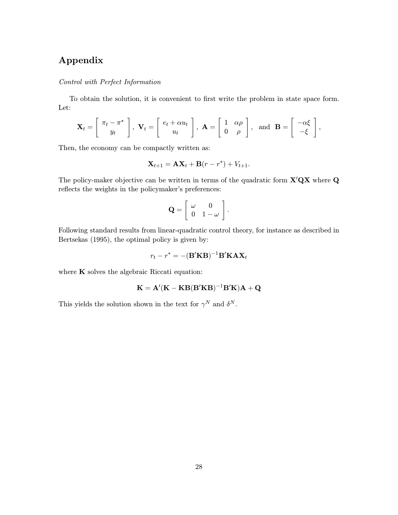# Appendix

## Control with Perfect Information

To obtain the solution, it is convenient to first write the problem in state space form. Let:

$$
\mathbf{X}_t = \left[ \begin{array}{c} \pi_t - \pi^* \\ y_t \end{array} \right], \ \mathbf{V}_t = \left[ \begin{array}{c} e_t + \alpha u_t \\ u_t \end{array} \right], \ \mathbf{A} = \left[ \begin{array}{cc} 1 & \alpha \rho \\ 0 & \rho \end{array} \right], \ \text{ and } \ \mathbf{B} = \left[ \begin{array}{c} -\alpha \xi \\ -\xi \end{array} \right],
$$

Then, the economy can be compactly written as:

$$
\mathbf{X}_{t+1} = \mathbf{A}\mathbf{X}_t + \mathbf{B}(r - r^*) + V_{t+1}.
$$

The policy-maker objective can be written in terms of the quadratic form  $X'QX$  where Q reflects the weights in the policymaker's preferences:

$$
\mathbf{Q} = \left[ \begin{array}{cc} \omega & 0 \\ 0 & 1 - \omega \end{array} \right].
$$

Following standard results from linear-quadratic control theory, for instance as described in Bertsekas (1995), the optimal policy is given by:

$$
r_t - r^* = -(\mathbf{B}'\mathbf{K}\mathbf{B})^{-1}\mathbf{B}'\mathbf{K}\mathbf{A}\mathbf{X}_t
$$

where  $\bf{K}$  solves the algebraic Riccati equation:

$$
\mathbf{K} = \mathbf{A}'(\mathbf{K} - \mathbf{K}\mathbf{B}(\mathbf{B}'\mathbf{K}\mathbf{B})^{-1}\mathbf{B}'\mathbf{K})\mathbf{A} + \mathbf{Q}
$$

This yields the solution shown in the text for  $\gamma^N$  and  $\delta^N$ .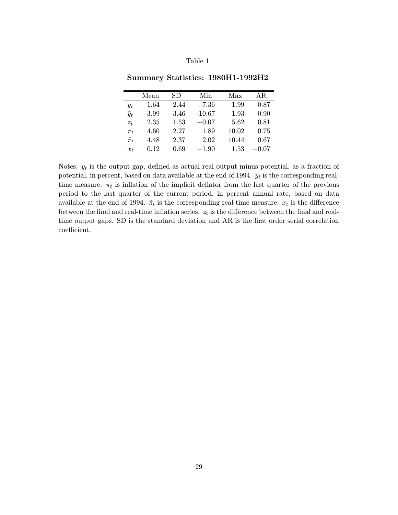## Table 1

|                 | Mean    | SD.  | Min      | Max   | AR    |
|-----------------|---------|------|----------|-------|-------|
| $y_t$           | $-1.64$ | 2.44 | $-7.36$  | 1.99  | 0.87  |
| $\tilde{y}_t$   | $-3.99$ | 3.46 | $-10.67$ | 1.93  | 0.90  |
| $z_t$           | 2.35    | 1.53 | $-0.07$  | 5.62  | 0.81  |
| $\pi_t$         | 4.60    | 2.27 | 1.89     | 10.02 | 0.75  |
| $\tilde{\pi}_t$ | 4.48    | 2.37 | 2.02     | 10.44 | 0.67  |
| $x_t$           | 0.12    | 0.69 | $-1.90$  | 1.53  | -0.07 |

Summary Statistics: 1980H1-1992H2

Notes:  $y_t$  is the output gap, defined as actual real output minus potential, as a fraction of potential, in percent, based on data available at the end of 1994.  $\tilde{y}_t$  is the corresponding realtime measure.  $\pi_t$  is inflation of the implicit deflator from the last quarter of the previous period to the last quarter of the current period, in percent annual rate, based on data available at the end of 1994.  $\tilde{\pi}_t$  is the corresponding real-time measure.  $x_t$  is the difference between the final and real-time inflation series.  $z_t$  is the difference between the final and realtime output gaps. SD is the standard deviation and AR is the first order serial correlation coefficient.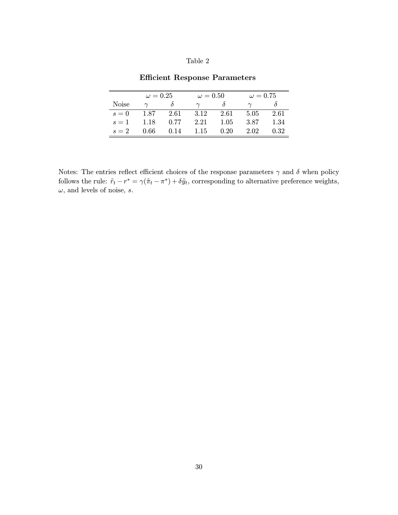## Table 2

|       | $\omega = 0.25$ |      | $\omega = 0.50$ |      | $\omega = 0.75$ |      |
|-------|-----------------|------|-----------------|------|-----------------|------|
| Noise |                 |      |                 |      |                 |      |
| $s=0$ | 1.87            | 2.61 | 3.12            | 2.61 | 5.05            | 2.61 |
| $s=1$ | 1.18            | 0.77 | 2.21            | 1.05 | 3.87            | 1.34 |
| $s=2$ | 0.66            | 0.14 | 1.15            | 0.20 | 2.02            | 0.32 |
|       |                 |      |                 |      |                 |      |

Efficient Response Parameters

Notes: The entries reflect efficient choices of the response parameters  $\gamma$  and  $\delta$  when policy follows the rule:  $\tilde{r}_t - r^* = \gamma(\tilde{\pi}_t - \pi^*) + \delta \tilde{y}_t$ , corresponding to alternative preference weights,  $\omega$ , and levels of noise, s.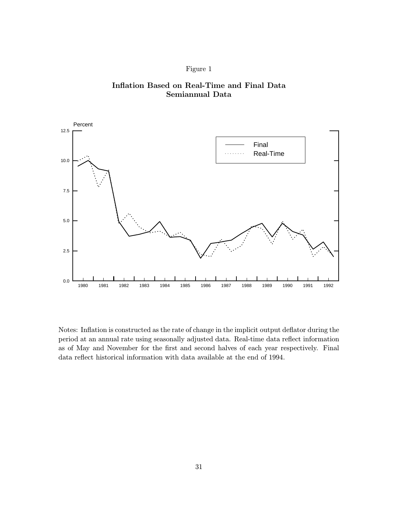

# Inflation Based on Real-Time and Final Data Semiannual Data



Notes: Inflation is constructed as the rate of change in the implicit output deflator during the period at an annual rate using seasonally adjusted data. Real-time data reflect information as of May and November for the first and second halves of each year respectively. Final data reflect historical information with data available at the end of 1994.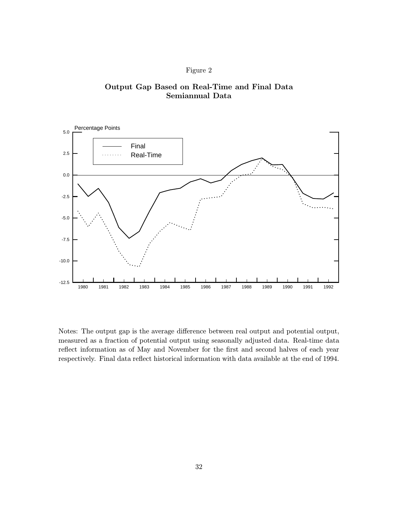# Output Gap Based on Real-Time and Final Data Semiannual Data



Notes: The output gap is the average difference between real output and potential output, measured as a fraction of potential output using seasonally adjusted data. Real-time data reflect information as of May and November for the first and second halves of each year respectively. Final data reflect historical information with data available at the end of 1994.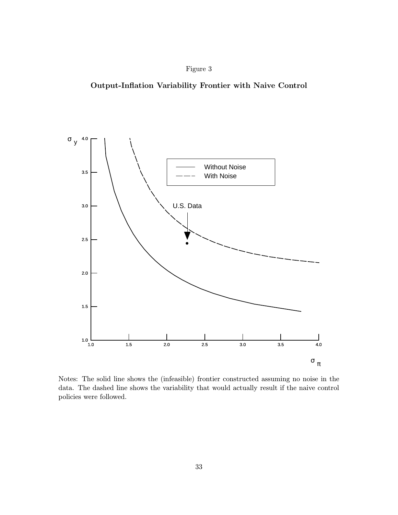## Output-Inflation Variability Frontier with Naive Control



Notes: The solid line shows the (infeasible) frontier constructed assuming no noise in the data. The dashed line shows the variability that would actually result if the naive control policies were followed.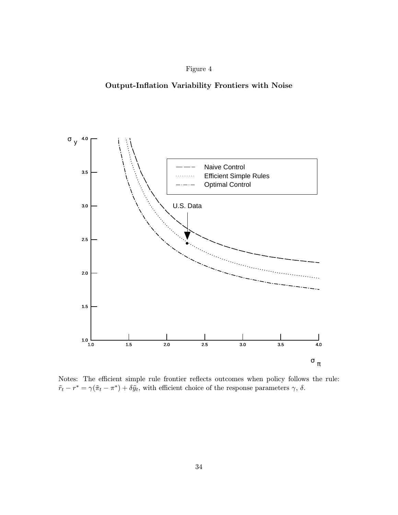## Output-Inflation Variability Frontiers with Noise



Notes: The efficient simple rule frontier reflects outcomes when policy follows the rule:  $\tilde{r}_t - r^* = \gamma(\tilde{\pi}_t - \pi^*) + \delta \tilde{y}_t,$  with efficient choice of the response parameters  $\gamma,$   $\delta.$